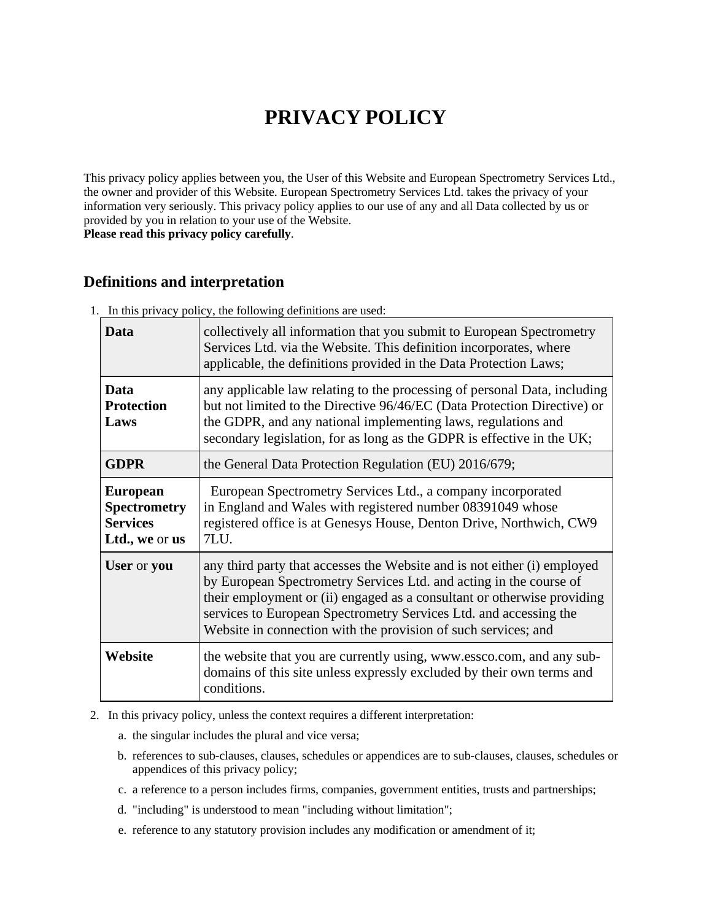# **PRIVACY POLICY**

This privacy policy applies between you, the User of this Website and European Spectrometry Services Ltd., the owner and provider of this Website. European Spectrometry Services Ltd. takes the privacy of your information very seriously. This privacy policy applies to our use of any and all Data collected by us or provided by you in relation to your use of the Website.

**Please read this privacy policy carefully**.

## **Definitions and interpretation**

| $\ldots$ and $\mu$ are $\mu$ and $\mu$ are roll $\mu$ and $\mu$ are $\mu$ and $\mu$ are $\mu$ and $\mu$ |                                                                                                                                                                                                                                                                                                                                                                  |
|---------------------------------------------------------------------------------------------------------|------------------------------------------------------------------------------------------------------------------------------------------------------------------------------------------------------------------------------------------------------------------------------------------------------------------------------------------------------------------|
| Data                                                                                                    | collectively all information that you submit to European Spectrometry<br>Services Ltd. via the Website. This definition incorporates, where<br>applicable, the definitions provided in the Data Protection Laws;                                                                                                                                                 |
| Data<br><b>Protection</b><br>Laws                                                                       | any applicable law relating to the processing of personal Data, including<br>but not limited to the Directive 96/46/EC (Data Protection Directive) or<br>the GDPR, and any national implementing laws, regulations and<br>secondary legislation, for as long as the GDPR is effective in the UK;                                                                 |
| <b>GDPR</b>                                                                                             | the General Data Protection Regulation (EU) 2016/679;                                                                                                                                                                                                                                                                                                            |
| <b>European</b><br><b>Spectrometry</b><br><b>Services</b><br>Ltd., we or us                             | European Spectrometry Services Ltd., a company incorporated<br>in England and Wales with registered number 08391049 whose<br>registered office is at Genesys House, Denton Drive, Northwich, CW9<br>7LU.                                                                                                                                                         |
| User or you                                                                                             | any third party that accesses the Website and is not either (i) employed<br>by European Spectrometry Services Ltd. and acting in the course of<br>their employment or (ii) engaged as a consultant or otherwise providing<br>services to European Spectrometry Services Ltd. and accessing the<br>Website in connection with the provision of such services; and |
| Website                                                                                                 | the website that you are currently using, www.essco.com, and any sub-<br>domains of this site unless expressly excluded by their own terms and<br>conditions.                                                                                                                                                                                                    |

1. In this privacy policy, the following definitions are used:

2. In this privacy policy, unless the context requires a different interpretation:

- a. the singular includes the plural and vice versa;
- b. references to sub-clauses, clauses, schedules or appendices are to sub-clauses, clauses, schedules or appendices of this privacy policy;
- c. a reference to a person includes firms, companies, government entities, trusts and partnerships;
- d. "including" is understood to mean "including without limitation";
- e. reference to any statutory provision includes any modification or amendment of it;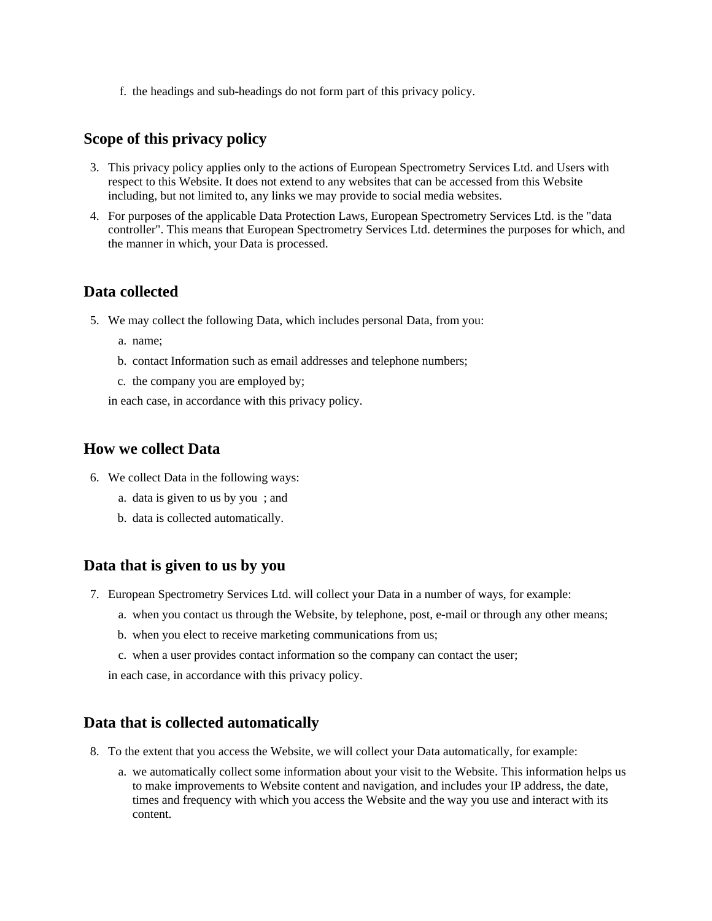f. the headings and sub-headings do not form part of this privacy policy.

#### **Scope of this privacy policy**

- 3. This privacy policy applies only to the actions of European Spectrometry Services Ltd. and Users with respect to this Website. It does not extend to any websites that can be accessed from this Website including, but not limited to, any links we may provide to social media websites.
- 4. For purposes of the applicable Data Protection Laws, European Spectrometry Services Ltd. is the "data controller". This means that European Spectrometry Services Ltd. determines the purposes for which, and the manner in which, your Data is processed.

#### **Data collected**

- 5. We may collect the following Data, which includes personal Data, from you:
	- a. name;
	- b. contact Information such as email addresses and telephone numbers;
	- c. the company you are employed by;

in each case, in accordance with this privacy policy.

#### **How we collect Data**

- 6. We collect Data in the following ways:
	- a. data is given to us by you ; and
	- b. data is collected automatically.

#### **Data that is given to us by you**

- 7. European Spectrometry Services Ltd. will collect your Data in a number of ways, for example:
	- a. when you contact us through the Website, by telephone, post, e-mail or through any other means;
	- b. when you elect to receive marketing communications from us;
	- c. when a user provides contact information so the company can contact the user;

in each case, in accordance with this privacy policy.

#### **Data that is collected automatically**

- 8. To the extent that you access the Website, we will collect your Data automatically, for example:
	- a. we automatically collect some information about your visit to the Website. This information helps us to make improvements to Website content and navigation, and includes your IP address, the date, times and frequency with which you access the Website and the way you use and interact with its content.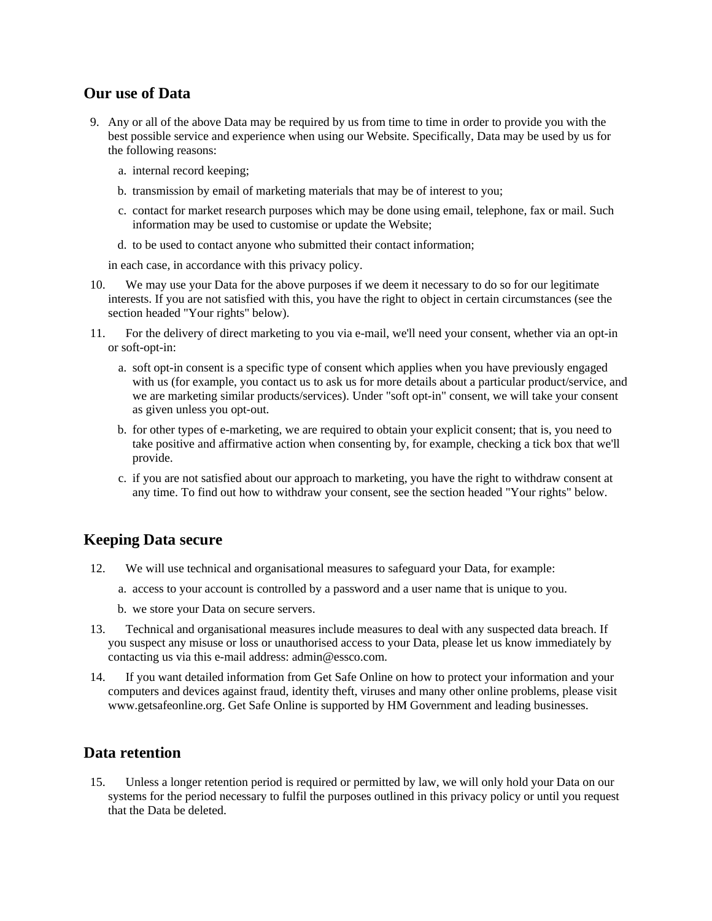## **Our use of Data**

- 9. Any or all of the above Data may be required by us from time to time in order to provide you with the best possible service and experience when using our Website. Specifically, Data may be used by us for the following reasons:
	- a. internal record keeping;
	- b. transmission by email of marketing materials that may be of interest to you;
	- c. contact for market research purposes which may be done using email, telephone, fax or mail. Such information may be used to customise or update the Website;
	- d. to be used to contact anyone who submitted their contact information;

in each case, in accordance with this privacy policy.

- 10. We may use your Data for the above purposes if we deem it necessary to do so for our legitimate interests. If you are not satisfied with this, you have the right to object in certain circumstances (see the section headed "Your rights" below).
- 11. For the delivery of direct marketing to you via e-mail, we'll need your consent, whether via an opt-in or soft-opt-in:
	- a. soft opt-in consent is a specific type of consent which applies when you have previously engaged with us (for example, you contact us to ask us for more details about a particular product/service, and we are marketing similar products/services). Under "soft opt-in" consent, we will take your consent as given unless you opt-out.
	- b. for other types of e-marketing, we are required to obtain your explicit consent; that is, you need to take positive and affirmative action when consenting by, for example, checking a tick box that we'll provide.
	- c. if you are not satisfied about our approach to marketing, you have the right to withdraw consent at any time. To find out how to withdraw your consent, see the section headed "Your rights" below.

### **Keeping Data secure**

- 12. We will use technical and organisational measures to safeguard your Data, for example:
	- a. access to your account is controlled by a password and a user name that is unique to you.
	- b. we store your Data on secure servers.
- 13. Technical and organisational measures include measures to deal with any suspected data breach. If you suspect any misuse or loss or unauthorised access to your Data, please let us know immediately by contacting us via this e-mail address: admin@essco.com.
- 14. If you want detailed information from Get Safe Online on how to protect your information and your computers and devices against fraud, identity theft, viruses and many other online problems, please visit www.getsafeonline.org. Get Safe Online is supported by HM Government and leading businesses.

### **Data retention**

15. Unless a longer retention period is required or permitted by law, we will only hold your Data on our systems for the period necessary to fulfil the purposes outlined in this privacy policy or until you request that the Data be deleted.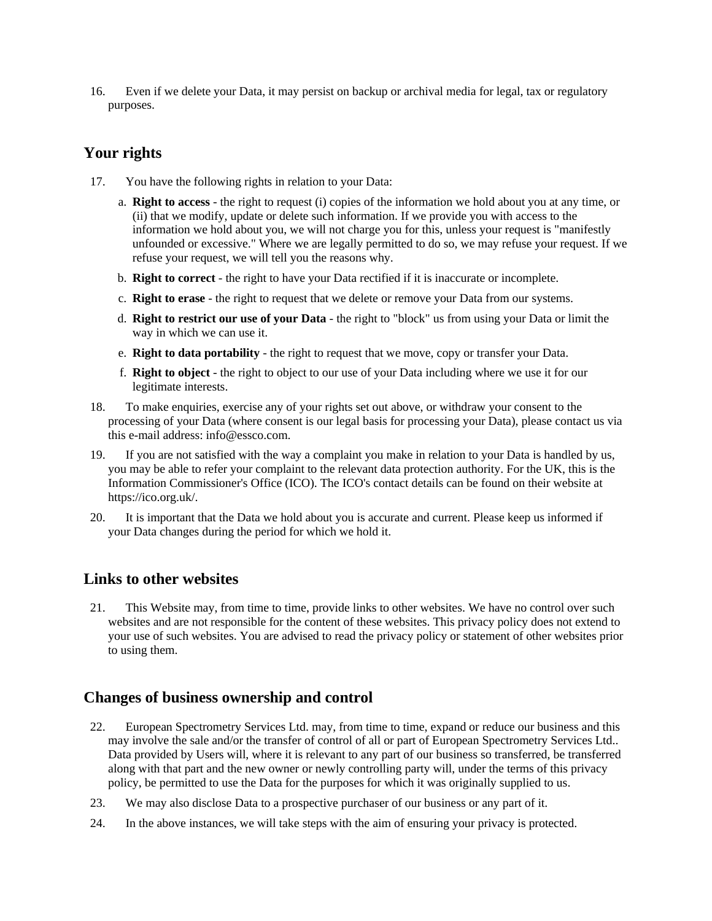16. Even if we delete your Data, it may persist on backup or archival media for legal, tax or regulatory purposes.

# **Your rights**

- 17. You have the following rights in relation to your Data:
	- a. **Right to access** the right to request (i) copies of the information we hold about you at any time, or (ii) that we modify, update or delete such information. If we provide you with access to the information we hold about you, we will not charge you for this, unless your request is "manifestly unfounded or excessive." Where we are legally permitted to do so, we may refuse your request. If we refuse your request, we will tell you the reasons why.
	- b. **Right to correct** the right to have your Data rectified if it is inaccurate or incomplete.
	- c. **Right to erase** the right to request that we delete or remove your Data from our systems.
	- d. **Right to restrict our use of your Data** the right to "block" us from using your Data or limit the way in which we can use it.
	- e. **Right to data portability** the right to request that we move, copy or transfer your Data.
	- f. **Right to object** the right to object to our use of your Data including where we use it for our legitimate interests.
- 18. To make enquiries, exercise any of your rights set out above, or withdraw your consent to the processing of your Data (where consent is our legal basis for processing your Data), please contact us via this e-mail address: info@essco.com.
- 19. If you are not satisfied with the way a complaint you make in relation to your Data is handled by us, you may be able to refer your complaint to the relevant data protection authority. For the UK, this is the Information Commissioner's Office (ICO). The ICO's contact details can be found on their website at https://ico.org.uk/.
- 20. It is important that the Data we hold about you is accurate and current. Please keep us informed if your Data changes during the period for which we hold it.

# **Links to other websites**

21. This Website may, from time to time, provide links to other websites. We have no control over such websites and are not responsible for the content of these websites. This privacy policy does not extend to your use of such websites. You are advised to read the privacy policy or statement of other websites prior to using them.

### **Changes of business ownership and control**

- 22. European Spectrometry Services Ltd. may, from time to time, expand or reduce our business and this may involve the sale and/or the transfer of control of all or part of European Spectrometry Services Ltd.. Data provided by Users will, where it is relevant to any part of our business so transferred, be transferred along with that part and the new owner or newly controlling party will, under the terms of this privacy policy, be permitted to use the Data for the purposes for which it was originally supplied to us.
- 23. We may also disclose Data to a prospective purchaser of our business or any part of it.
- 24. In the above instances, we will take steps with the aim of ensuring your privacy is protected.